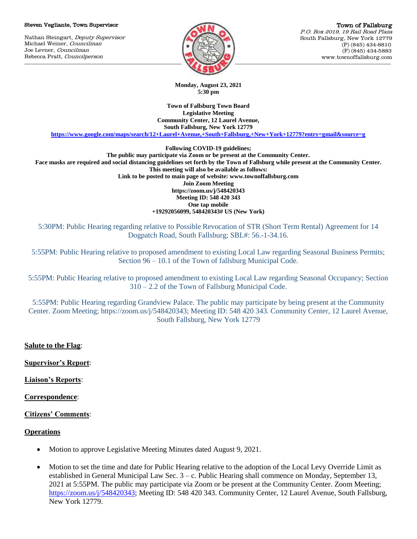#### Steven Vegliante, Town Supervisor

Nathan Steingart, Deputy Supervisor Michael Weiner, Councilman Joe Levner, Councilman Rebecca Pratt, Councilperson



**Monday, August 23, 2021 5:30 pm**

**Town of Fallsburg Town Board Legislative Meeting Community Center, 12 Laurel Avenue, South Fallsburg, New York 12779**

**<https://www.google.com/maps/search/12+Laurel+Avenue,+South+Fallsburg,+New+York+12779?entry=gmail&source=g>**

**Following COVID-19 guidelines;**

**The public may participate via Zoom or be present at the Community Center. Face masks are required and social distancing guidelines set forth by the Town of Fallsburg while present at the Community Center. This meeting will also be available as follows: Link to be posted to main page of website: www.townoffallsburg.com Join Zoom Meeting https://zoom.us/j/548420343 Meeting ID: 548 420 343 One tap mobile +19292056099, 548420343# US (New York)**

5:30PM: Public Hearing regarding relative to Possible Revocation of STR (Short Term Rental) Agreement for 14 Dogpatch Road, South Fallsburg; SBL#: 56.-1-34.16.

5:55PM: Public Hearing relative to proposed amendment to existing Local Law regarding Seasonal Business Permits; Section 96 – 10.1 of the Town of fallsburg Municipal Code.

5:55PM: Public Hearing relative to proposed amendment to existing Local Law regarding Seasonal Occupancy; Section 310 – 2.2 of the Town of Fallsburg Municipal Code.

5:55PM: Public Hearing regarding Grandview Palace. The public may participate by being present at the Community Center. Zoom Meeting; https://zoom.us/j/548420343; Meeting ID: 548 420 343. Community Center, 12 Laurel Avenue, South Fallsburg, New York 12779

## **Salute to the Flag**:

**Supervisor's Report**:

**Liaison's Reports**:

**Correspondence**:

## **Citizens' Comments**:

## **Operations**

- Motion to approve Legislative Meeting Minutes dated August 9, 2021.
- Motion to set the time and date for Public Hearing relative to the adoption of the Local Levy Override Limit as established in General Municipal Law Sec. 3 – c. Public Hearing shall commence on Monday, September 13, 2021 at 5:55PM. The public may participate via Zoom or be present at the Community Center. Zoom Meeting; [https://zoom.us/j/548420343;](https://zoom.us/j/548420343) Meeting ID: 548 420 343. Community Center, 12 Laurel Avenue, South Fallsburg, New York 12779.